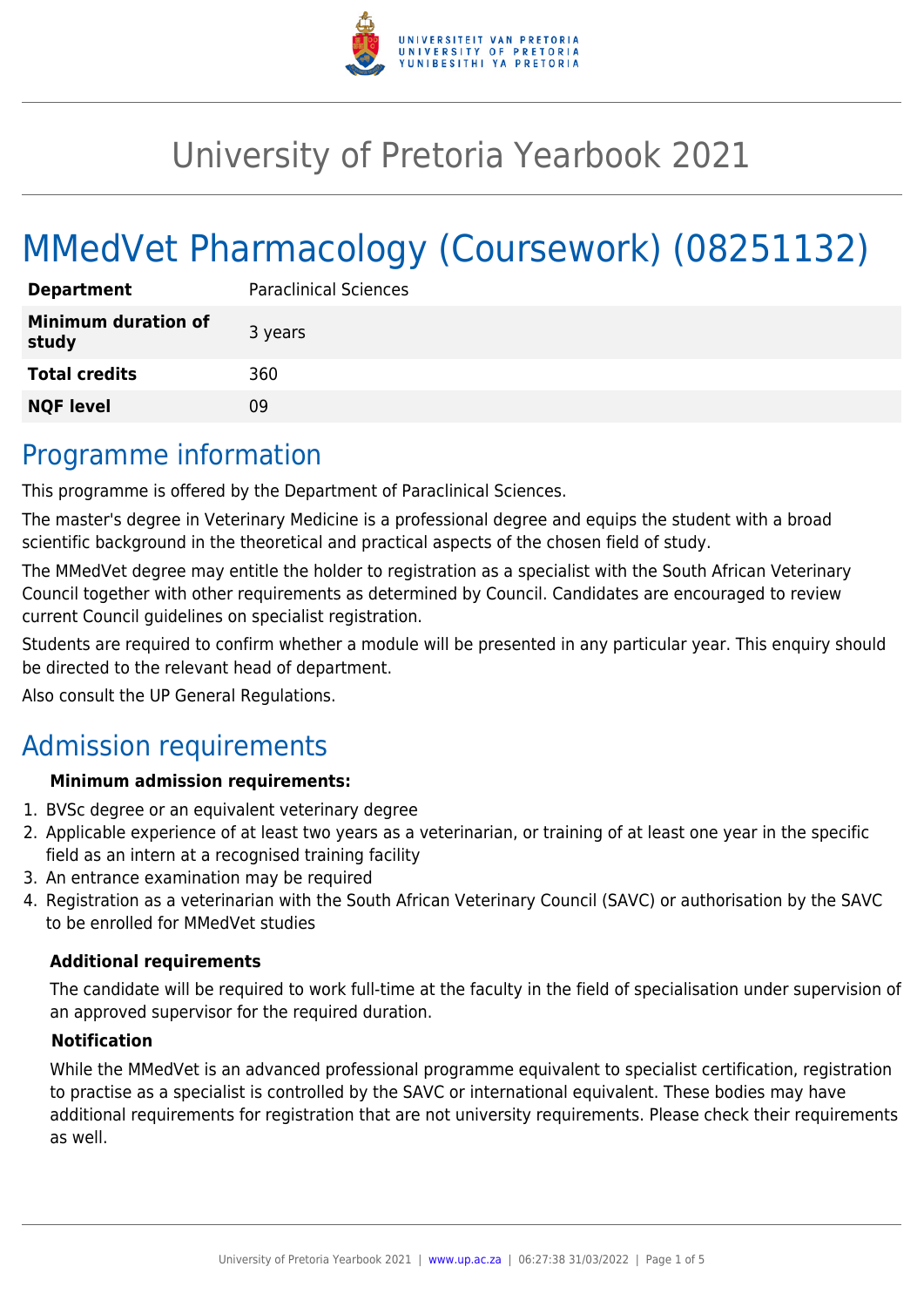

# University of Pretoria Yearbook 2021

# MMedVet Pharmacology (Coursework) (08251132)

| <b>Department</b>                   | <b>Paraclinical Sciences</b> |
|-------------------------------------|------------------------------|
| <b>Minimum duration of</b><br>study | 3 years                      |
| <b>Total credits</b>                | 360                          |
| <b>NQF level</b>                    | ΩÓ                           |

### Programme information

This programme is offered by the Department of Paraclinical Sciences.

The master's degree in Veterinary Medicine is a professional degree and equips the student with a broad scientific background in the theoretical and practical aspects of the chosen field of study.

The MMedVet degree may entitle the holder to registration as a specialist with the South African Veterinary Council together with other requirements as determined by Council. Candidates are encouraged to review current Council guidelines on specialist registration.

Students are required to confirm whether a module will be presented in any particular year. This enquiry should be directed to the relevant head of department.

Also consult the UP General Regulations.

### Admission requirements

#### **Minimum admission requirements:**

- 1. BVSc degree or an equivalent veterinary degree
- 2. Applicable experience of at least two years as a veterinarian, or training of at least one year in the specific field as an intern at a recognised training facility
- 3. An entrance examination may be required
- 4. Registration as a veterinarian with the South African Veterinary Council (SAVC) or authorisation by the SAVC to be enrolled for MMedVet studies

#### **Additional requirements**

The candidate will be required to work full-time at the faculty in the field of specialisation under supervision of an approved supervisor for the required duration.

#### **Notification**

While the MMedVet is an advanced professional programme equivalent to specialist certification, registration to practise as a specialist is controlled by the SAVC or international equivalent. These bodies may have additional requirements for registration that are not university requirements. Please check their requirements as well.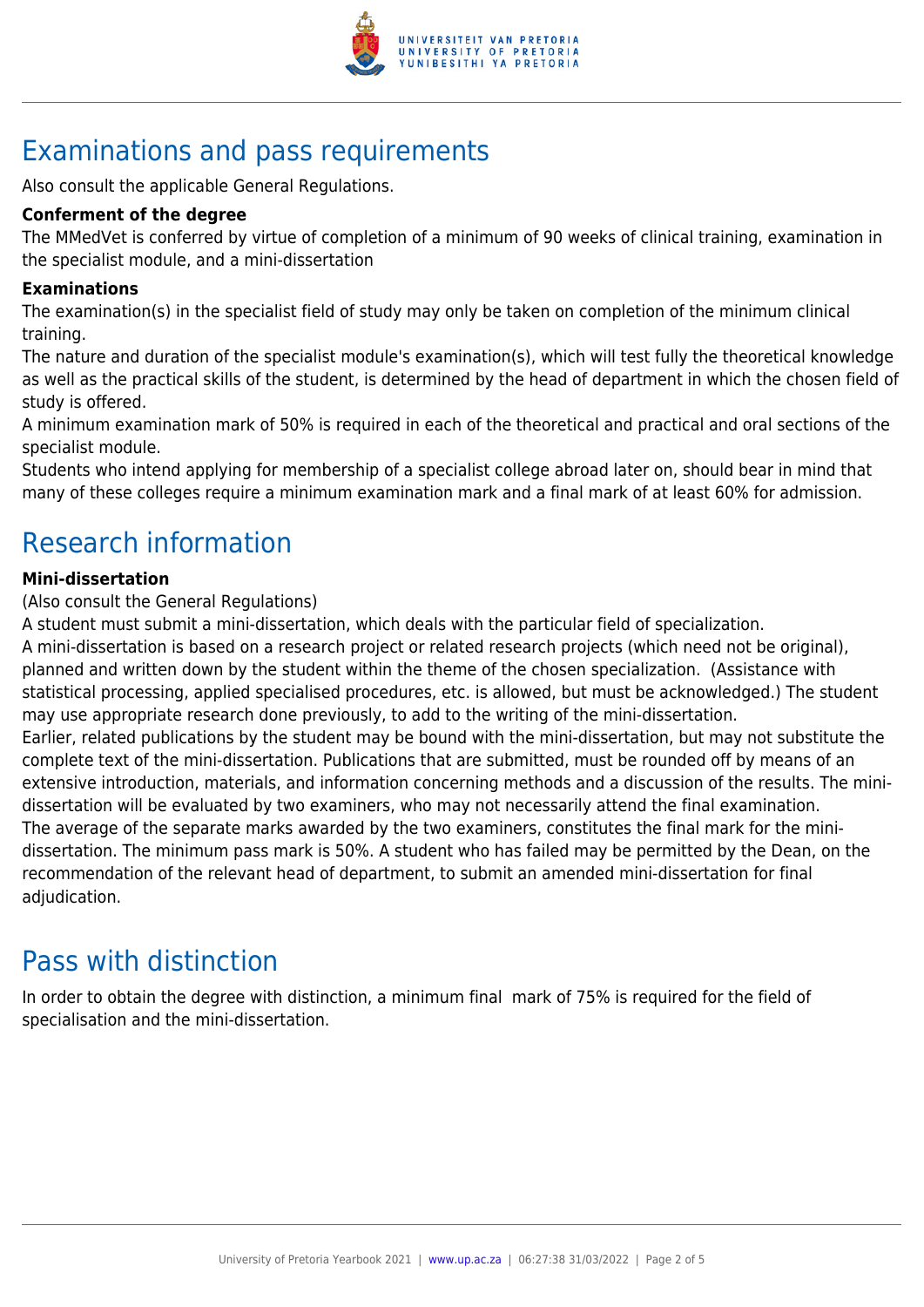

# Examinations and pass requirements

Also consult the applicable General Regulations.

#### **Conferment of the degree**

The MMedVet is conferred by virtue of completion of a minimum of 90 weeks of clinical training, examination in the specialist module, and a mini-dissertation

#### **Examinations**

The examination(s) in the specialist field of study may only be taken on completion of the minimum clinical training.

The nature and duration of the specialist module's examination(s), which will test fully the theoretical knowledge as well as the practical skills of the student, is determined by the head of department in which the chosen field of study is offered.

A minimum examination mark of 50% is required in each of the theoretical and practical and oral sections of the specialist module.

Students who intend applying for membership of a specialist college abroad later on, should bear in mind that many of these colleges require a minimum examination mark and a final mark of at least 60% for admission.

## Research information

#### **Mini-dissertation**

(Also consult the General Regulations)

A student must submit a mini-dissertation, which deals with the particular field of specialization.

A mini-dissertation is based on a research project or related research projects (which need not be original), planned and written down by the student within the theme of the chosen specialization. (Assistance with statistical processing, applied specialised procedures, etc. is allowed, but must be acknowledged.) The student may use appropriate research done previously, to add to the writing of the mini-dissertation. Earlier, related publications by the student may be bound with the mini-dissertation, but may not substitute the complete text of the mini-dissertation. Publications that are submitted, must be rounded off by means of an extensive introduction, materials, and information concerning methods and a discussion of the results. The minidissertation will be evaluated by two examiners, who may not necessarily attend the final examination. The average of the separate marks awarded by the two examiners, constitutes the final mark for the minidissertation. The minimum pass mark is 50%. A student who has failed may be permitted by the Dean, on the recommendation of the relevant head of department, to submit an amended mini-dissertation for final adjudication.

### Pass with distinction

In order to obtain the degree with distinction, a minimum final mark of 75% is required for the field of specialisation and the mini-dissertation.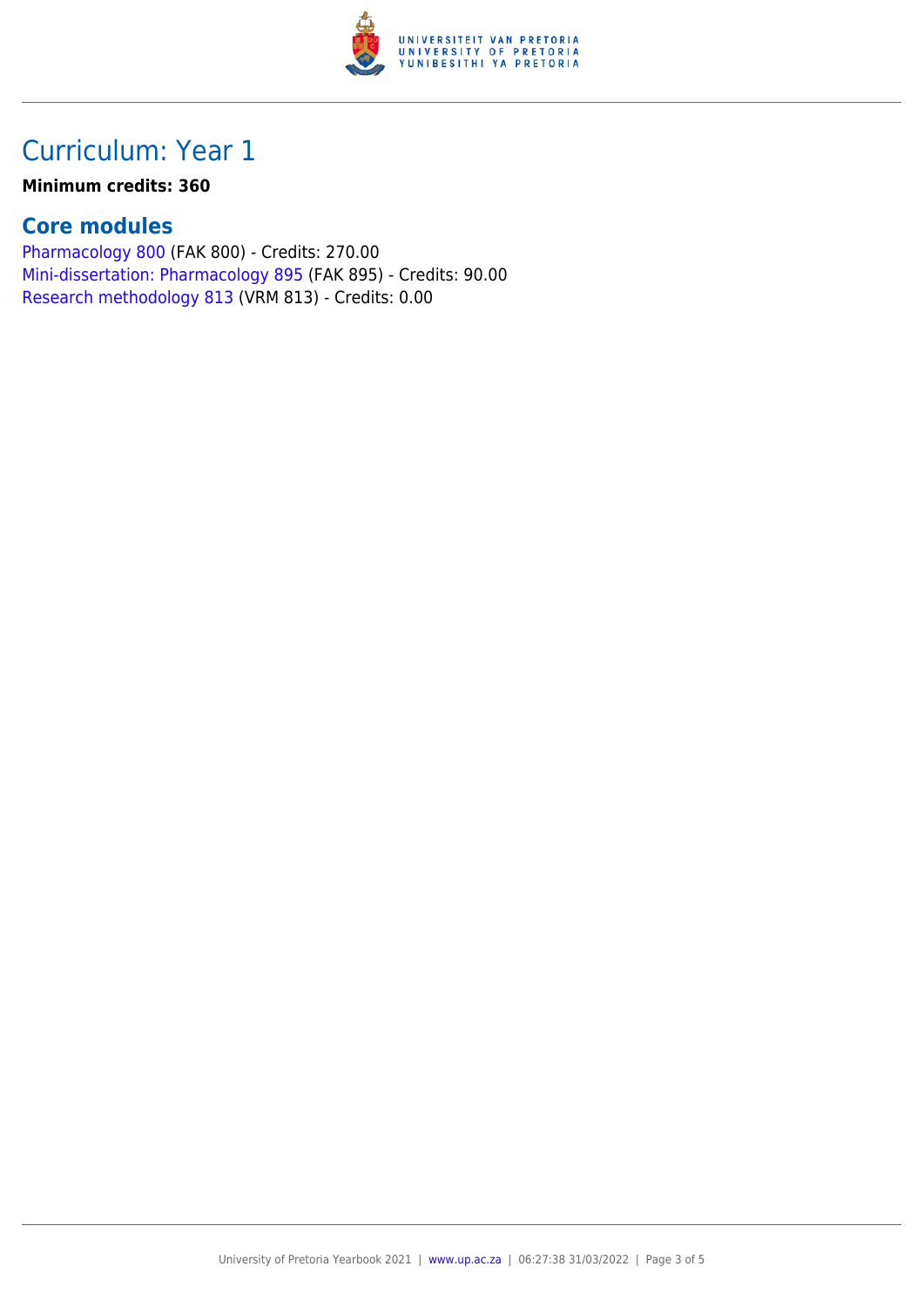

## Curriculum: Year 1

#### **Minimum credits: 360**

#### **Core modules**

[Pharmacology 800](https://www.up.ac.za/mechanical-and-aeronautical-engineering/yearbooks/2021/modules/view/FAK 800) (FAK 800) - Credits: 270.00 [Mini-dissertation: Pharmacology 895](https://www.up.ac.za/mechanical-and-aeronautical-engineering/yearbooks/2021/modules/view/FAK 895) (FAK 895) - Credits: 90.00 [Research methodology 813](https://www.up.ac.za/mechanical-and-aeronautical-engineering/yearbooks/2021/modules/view/VRM 813) (VRM 813) - Credits: 0.00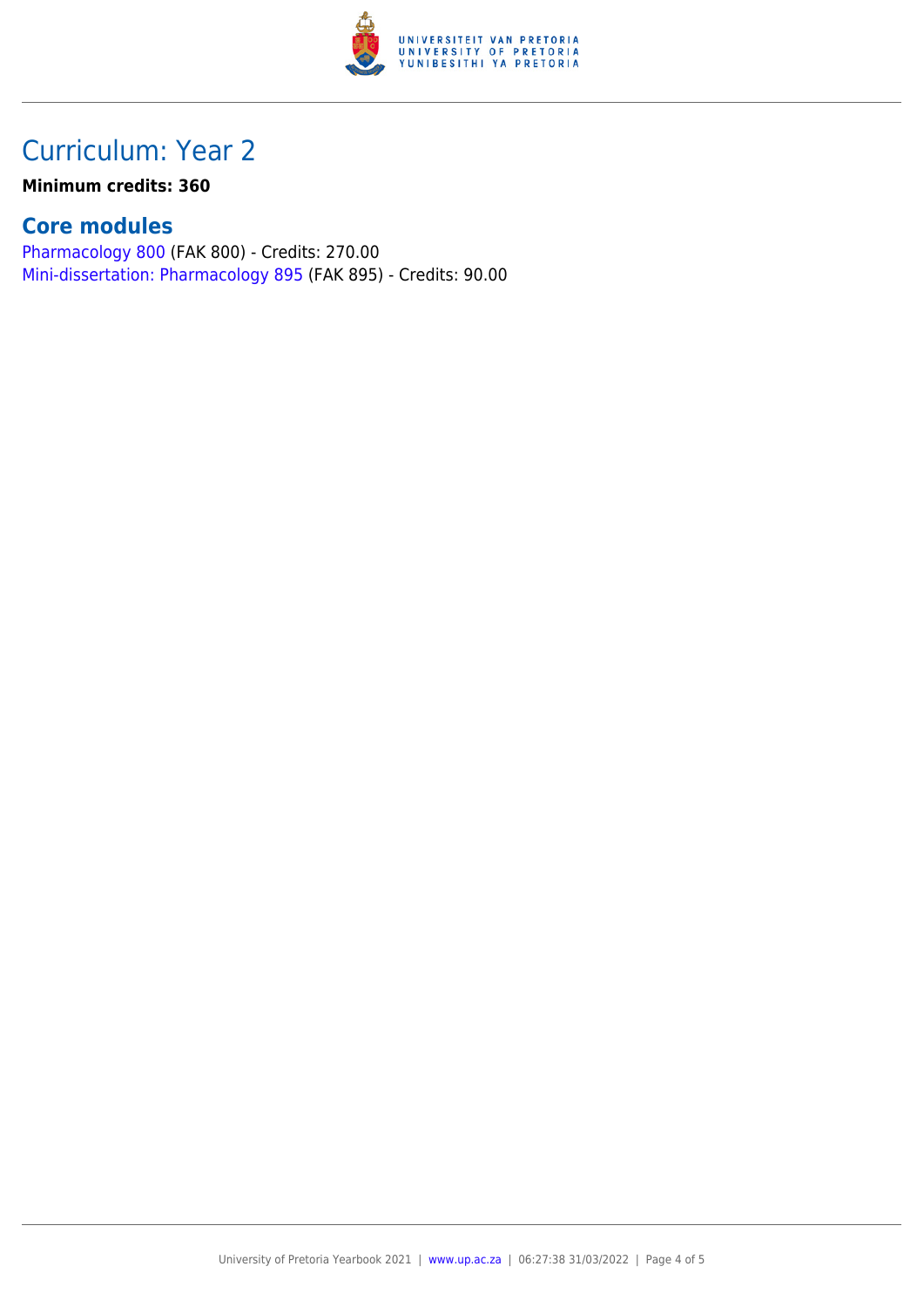

## Curriculum: Year 2

**Minimum credits: 360**

### **Core modules**

[Pharmacology 800](https://www.up.ac.za/mechanical-and-aeronautical-engineering/yearbooks/2021/modules/view/FAK 800) (FAK 800) - Credits: 270.00 [Mini-dissertation: Pharmacology 895](https://www.up.ac.za/mechanical-and-aeronautical-engineering/yearbooks/2021/modules/view/FAK 895) (FAK 895) - Credits: 90.00